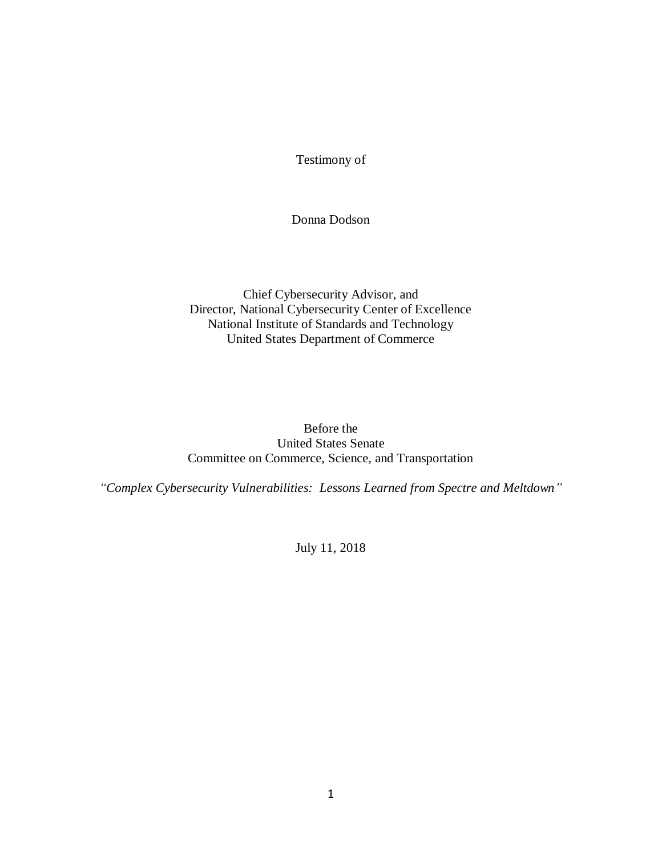Testimony of

Donna Dodson

Chief Cybersecurity Advisor, and Director, National Cybersecurity Center of Excellence National Institute of Standards and Technology United States Department of Commerce

Before the United States Senate Committee on Commerce, Science, and Transportation

*"Complex Cybersecurity Vulnerabilities: Lessons Learned from Spectre and Meltdown"*

July 11, 2018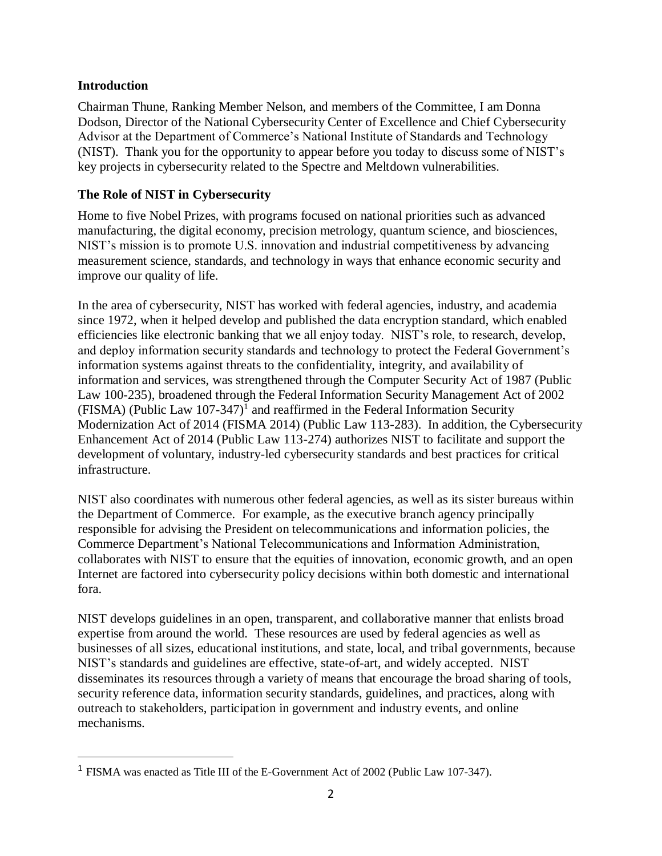# **Introduction**

 $\overline{a}$ 

Chairman Thune, Ranking Member Nelson, and members of the Committee, I am Donna Dodson, Director of the National Cybersecurity Center of Excellence and Chief Cybersecurity Advisor at the Department of Commerce's National Institute of Standards and Technology (NIST). Thank you for the opportunity to appear before you today to discuss some of NIST's key projects in cybersecurity related to the Spectre and Meltdown vulnerabilities.

# **The Role of NIST in Cybersecurity**

Home to five Nobel Prizes, with programs focused on national priorities such as advanced manufacturing, the digital economy, precision metrology, quantum science, and biosciences, NIST's mission is to promote U.S. innovation and industrial competitiveness by advancing measurement science, standards, and technology in ways that enhance economic security and improve our quality of life.

In the area of cybersecurity, NIST has worked with federal agencies, industry, and academia since 1972, when it helped develop and published the data encryption standard, which enabled efficiencies like electronic banking that we all enjoy today. NIST's role, to research, develop, and deploy information security standards and technology to protect the Federal Government's information systems against threats to the confidentiality, integrity, and availability of information and services, was strengthened through the Computer Security Act of 1987 (Public Law 100-235), broadened through the Federal Information Security Management Act of 2002  $(FISMA)$  (Public Law 107-347)<sup>1</sup> and reaffirmed in the Federal Information Security Modernization Act of 2014 (FISMA 2014) (Public Law 113-283). In addition, the Cybersecurity Enhancement Act of 2014 (Public Law 113-274) authorizes NIST to facilitate and support the development of voluntary, industry-led cybersecurity standards and best practices for critical infrastructure.

NIST also coordinates with numerous other federal agencies, as well as its sister bureaus within the Department of Commerce. For example, as the executive branch agency principally responsible for advising the President on telecommunications and information policies, the Commerce Department's National Telecommunications and Information Administration, collaborates with NIST to ensure that the equities of innovation, economic growth, and an open Internet are factored into cybersecurity policy decisions within both domestic and international fora.

NIST develops guidelines in an open, transparent, and collaborative manner that enlists broad expertise from around the world. These resources are used by federal agencies as well as businesses of all sizes, educational institutions, and state, local, and tribal governments, because NIST's standards and guidelines are effective, state-of-art, and widely accepted. NIST disseminates its resources through a variety of means that encourage the broad sharing of tools, security reference data, information security standards, guidelines, and practices, along with outreach to stakeholders, participation in government and industry events, and online mechanisms.

<sup>1</sup> FISMA was enacted as Title III of the E-Government Act of 2002 (Public Law 107-347).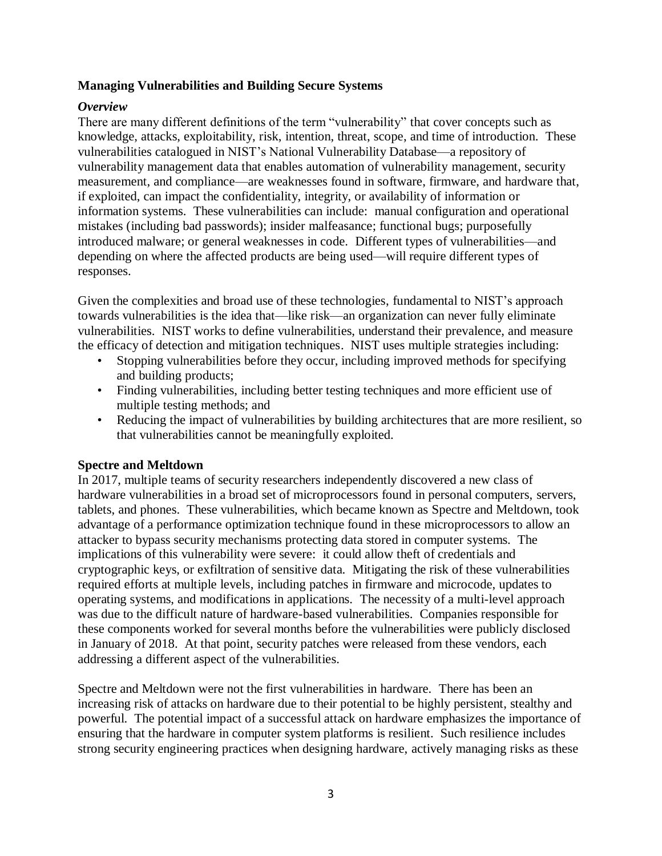## **Managing Vulnerabilities and Building Secure Systems**

# *Overview*

There are many different definitions of the term "vulnerability" that cover concepts such as knowledge, attacks, exploitability, risk, intention, threat, scope, and time of introduction. These vulnerabilities catalogued in NIST's National Vulnerability Database—a repository of vulnerability management data that enables automation of vulnerability management, security measurement, and compliance—are weaknesses found in software, firmware, and hardware that, if exploited, can impact the confidentiality, integrity, or availability of information or information systems. These vulnerabilities can include: manual configuration and operational mistakes (including bad passwords); insider malfeasance; functional bugs; purposefully introduced malware; or general weaknesses in code. Different types of vulnerabilities—and depending on where the affected products are being used—will require different types of responses.

Given the complexities and broad use of these technologies, fundamental to NIST's approach towards vulnerabilities is the idea that—like risk—an organization can never fully eliminate vulnerabilities. NIST works to define vulnerabilities, understand their prevalence, and measure the efficacy of detection and mitigation techniques. NIST uses multiple strategies including:

- Stopping vulnerabilities before they occur, including improved methods for specifying and building products;
- Finding vulnerabilities, including better testing techniques and more efficient use of multiple testing methods; and
- Reducing the impact of vulnerabilities by building architectures that are more resilient, so that vulnerabilities cannot be meaningfully exploited.

### **Spectre and Meltdown**

In 2017, multiple teams of security researchers independently discovered a new class of hardware vulnerabilities in a broad set of microprocessors found in personal computers, servers, tablets, and phones. These vulnerabilities, which became known as Spectre and Meltdown, took advantage of a performance optimization technique found in these microprocessors to allow an attacker to bypass security mechanisms protecting data stored in computer systems. The implications of this vulnerability were severe: it could allow theft of credentials and cryptographic keys, or exfiltration of sensitive data. Mitigating the risk of these vulnerabilities required efforts at multiple levels, including patches in firmware and microcode, updates to operating systems, and modifications in applications. The necessity of a multi-level approach was due to the difficult nature of hardware-based vulnerabilities. Companies responsible for these components worked for several months before the vulnerabilities were publicly disclosed in January of 2018. At that point, security patches were released from these vendors, each addressing a different aspect of the vulnerabilities.

Spectre and Meltdown were not the first vulnerabilities in hardware. There has been an increasing risk of attacks on hardware due to their potential to be highly persistent, stealthy and powerful. The potential impact of a successful attack on hardware emphasizes the importance of ensuring that the hardware in computer system platforms is resilient. Such resilience includes strong security engineering practices when designing hardware, actively managing risks as these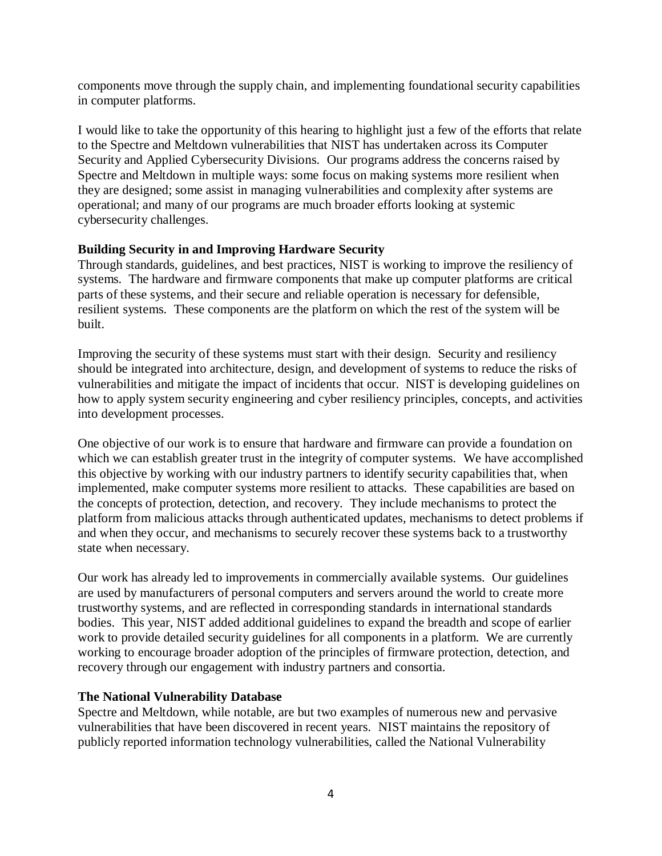components move through the supply chain, and implementing foundational security capabilities in computer platforms.

I would like to take the opportunity of this hearing to highlight just a few of the efforts that relate to the Spectre and Meltdown vulnerabilities that NIST has undertaken across its Computer Security and Applied Cybersecurity Divisions. Our programs address the concerns raised by Spectre and Meltdown in multiple ways: some focus on making systems more resilient when they are designed; some assist in managing vulnerabilities and complexity after systems are operational; and many of our programs are much broader efforts looking at systemic cybersecurity challenges.

## **Building Security in and Improving Hardware Security**

Through standards, guidelines, and best practices, NIST is working to improve the resiliency of systems. The hardware and firmware components that make up computer platforms are critical parts of these systems, and their secure and reliable operation is necessary for defensible, resilient systems. These components are the platform on which the rest of the system will be built.

Improving the security of these systems must start with their design. Security and resiliency should be integrated into architecture, design, and development of systems to reduce the risks of vulnerabilities and mitigate the impact of incidents that occur. NIST is developing guidelines on how to apply system security engineering and cyber resiliency principles, concepts, and activities into development processes.

One objective of our work is to ensure that hardware and firmware can provide a foundation on which we can establish greater trust in the integrity of computer systems. We have accomplished this objective by working with our industry partners to identify security capabilities that, when implemented, make computer systems more resilient to attacks. These capabilities are based on the concepts of protection, detection, and recovery. They include mechanisms to protect the platform from malicious attacks through authenticated updates, mechanisms to detect problems if and when they occur, and mechanisms to securely recover these systems back to a trustworthy state when necessary.

Our work has already led to improvements in commercially available systems. Our guidelines are used by manufacturers of personal computers and servers around the world to create more trustworthy systems, and are reflected in corresponding standards in international standards bodies. This year, NIST added additional guidelines to expand the breadth and scope of earlier work to provide detailed security guidelines for all components in a platform. We are currently working to encourage broader adoption of the principles of firmware protection, detection, and recovery through our engagement with industry partners and consortia.

### **The National Vulnerability Database**

Spectre and Meltdown, while notable, are but two examples of numerous new and pervasive vulnerabilities that have been discovered in recent years. NIST maintains the repository of publicly reported information technology vulnerabilities, called the National Vulnerability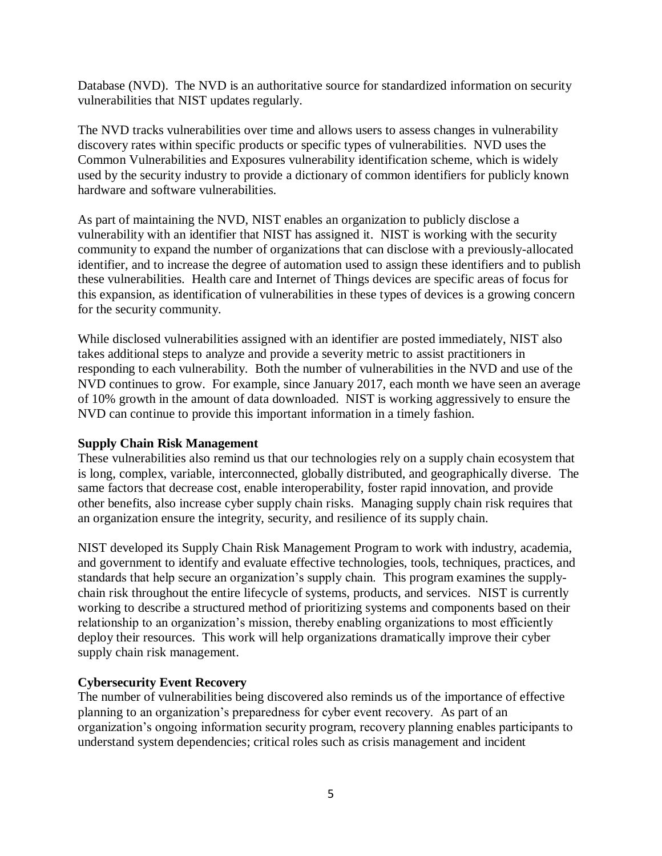Database (NVD). The NVD is an authoritative source for standardized information on security vulnerabilities that NIST updates regularly.

The NVD tracks vulnerabilities over time and allows users to assess changes in vulnerability discovery rates within specific products or specific types of vulnerabilities. NVD uses the Common Vulnerabilities and Exposures vulnerability identification scheme, which is widely used by the security industry to provide a dictionary of common identifiers for publicly known hardware and software vulnerabilities.

As part of maintaining the NVD, NIST enables an organization to publicly disclose a vulnerability with an identifier that NIST has assigned it. NIST is working with the security community to expand the number of organizations that can disclose with a previously-allocated identifier, and to increase the degree of automation used to assign these identifiers and to publish these vulnerabilities. Health care and Internet of Things devices are specific areas of focus for this expansion, as identification of vulnerabilities in these types of devices is a growing concern for the security community.

While disclosed vulnerabilities assigned with an identifier are posted immediately, NIST also takes additional steps to analyze and provide a severity metric to assist practitioners in responding to each vulnerability. Both the number of vulnerabilities in the NVD and use of the NVD continues to grow. For example, since January 2017, each month we have seen an average of 10% growth in the amount of data downloaded. NIST is working aggressively to ensure the NVD can continue to provide this important information in a timely fashion.

### **Supply Chain Risk Management**

These vulnerabilities also remind us that our technologies rely on a supply chain ecosystem that is long, complex, variable, interconnected, globally distributed, and geographically diverse. The same factors that decrease cost, enable interoperability, foster rapid innovation, and provide other benefits, also increase cyber supply chain risks. Managing supply chain risk requires that an organization ensure the integrity, security, and resilience of its supply chain.

NIST developed its Supply Chain Risk Management Program to work with industry, academia, and government to identify and evaluate effective technologies, tools, techniques, practices, and standards that help secure an organization's supply chain. This program examines the supplychain risk throughout the entire lifecycle of systems, products, and services. NIST is currently working to describe a structured method of prioritizing systems and components based on their relationship to an organization's mission, thereby enabling organizations to most efficiently deploy their resources. This work will help organizations dramatically improve their cyber supply chain risk management.

### **Cybersecurity Event Recovery**

The number of vulnerabilities being discovered also reminds us of the importance of effective planning to an organization's preparedness for cyber event recovery. As part of an organization's ongoing information security program, recovery planning enables participants to understand system dependencies; critical roles such as crisis management and incident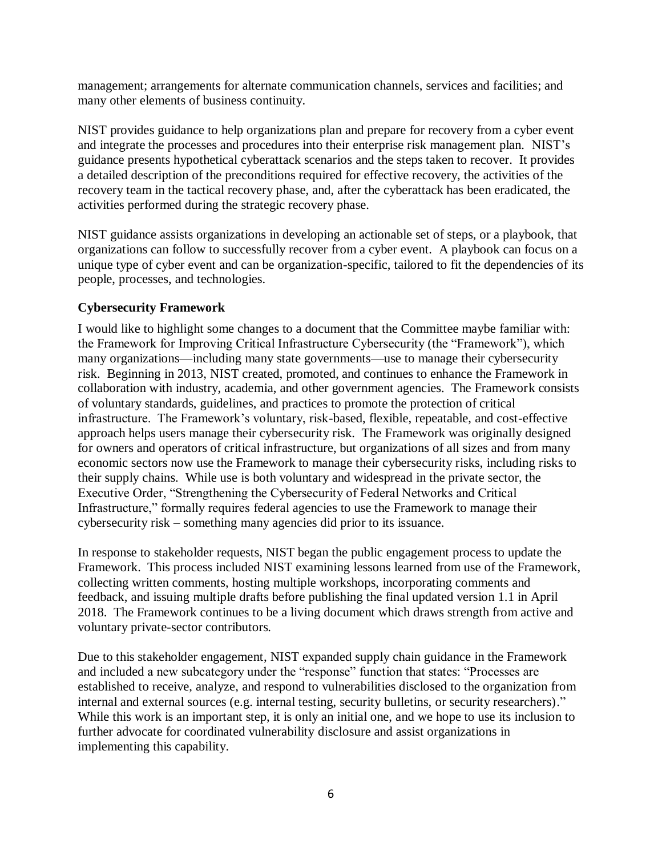management; arrangements for alternate communication channels, services and facilities; and many other elements of business continuity.

NIST provides guidance to help organizations plan and prepare for recovery from a cyber event and integrate the processes and procedures into their enterprise risk management plan. NIST's guidance presents hypothetical cyberattack scenarios and the steps taken to recover. It provides a detailed description of the preconditions required for effective recovery, the activities of the recovery team in the tactical recovery phase, and, after the cyberattack has been eradicated, the activities performed during the strategic recovery phase.

NIST guidance assists organizations in developing an actionable set of steps, or a playbook, that organizations can follow to successfully recover from a cyber event. A playbook can focus on a unique type of cyber event and can be organization-specific, tailored to fit the dependencies of its people, processes, and technologies.

## **Cybersecurity Framework**

I would like to highlight some changes to a document that the Committee maybe familiar with: the Framework for Improving Critical Infrastructure Cybersecurity (the "Framework"), which many organizations—including many state governments—use to manage their cybersecurity risk. Beginning in 2013, NIST created, promoted, and continues to enhance the Framework in collaboration with industry, academia, and other government agencies. The Framework consists of voluntary standards, guidelines, and practices to promote the protection of critical infrastructure. The Framework's voluntary, risk-based, flexible, repeatable, and cost-effective approach helps users manage their cybersecurity risk. The Framework was originally designed for owners and operators of critical infrastructure, but organizations of all sizes and from many economic sectors now use the Framework to manage their cybersecurity risks, including risks to their supply chains. While use is both voluntary and widespread in the private sector, the Executive Order, "Strengthening the Cybersecurity of Federal Networks and Critical Infrastructure," formally requires federal agencies to use the Framework to manage their cybersecurity risk – something many agencies did prior to its issuance.

In response to stakeholder requests, NIST began the public engagement process to update the Framework. This process included NIST examining lessons learned from use of the Framework, collecting written comments, hosting multiple workshops, incorporating comments and feedback, and issuing multiple drafts before publishing the final updated version 1.1 in April 2018. The Framework continues to be a living document which draws strength from active and voluntary private-sector contributors.

Due to this stakeholder engagement, NIST expanded supply chain guidance in the Framework and included a new subcategory under the "response" function that states: "Processes are established to receive, analyze, and respond to vulnerabilities disclosed to the organization from internal and external sources (e.g. internal testing, security bulletins, or security researchers)." While this work is an important step, it is only an initial one, and we hope to use its inclusion to further advocate for coordinated vulnerability disclosure and assist organizations in implementing this capability.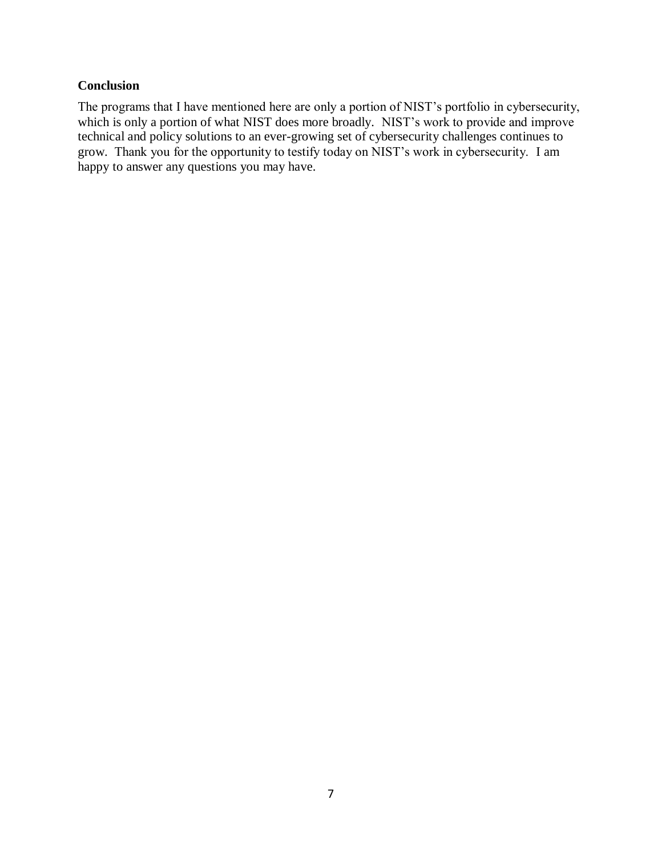## **Conclusion**

The programs that I have mentioned here are only a portion of NIST's portfolio in cybersecurity, which is only a portion of what NIST does more broadly. NIST's work to provide and improve technical and policy solutions to an ever-growing set of cybersecurity challenges continues to grow. Thank you for the opportunity to testify today on NIST's work in cybersecurity. I am happy to answer any questions you may have.